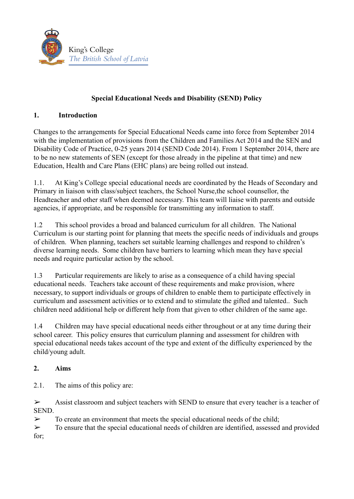

## **Special Educational Needs and Disability (SEND) Policy**

### **1. Introduction**

Changes to the arrangements for Special Educational Needs came into force from September 2014 with the implementation of provisions from the Children and Families Act 2014 and the SEN and Disability Code of Practice, 0-25 years 2014 (SEND Code 2014). From 1 September 2014, there are to be no new statements of SEN (except for those already in the pipeline at that time) and new Education, Health and Care Plans (EHC plans) are being rolled out instead.

1.1. At King's College special educational needs are coordinated by the Heads of Secondary and Primary in liaison with class/subject teachers, the School Nurse,the school counsellor, the Headteacher and other staff when deemed necessary. This team will liaise with parents and outside agencies, if appropriate, and be responsible for transmitting any information to staff.

1.2 This school provides a broad and balanced curriculum for all children. The National Curriculum is our starting point for planning that meets the specific needs of individuals and groups of children. When planning, teachers set suitable learning challenges and respond to children's diverse learning needs. Some children have barriers to learning which mean they have special needs and require particular action by the school.

1.3 Particular requirements are likely to arise as a consequence of a child having special educational needs. Teachers take account of these requirements and make provision, where necessary, to support individuals or groups of children to enable them to participate effectively in curriculum and assessment activities or to extend and to stimulate the gifted and talented.. Such children need additional help or different help from that given to other children of the same age.

1.4 Children may have special educational needs either throughout or at any time during their school career. This policy ensures that curriculum planning and assessment for children with special educational needs takes account of the type and extent of the difficulty experienced by the child/young adult.

### **2. Aims**

2.1. The aims of this policy are:

➢ Assist classroom and subject teachers with SEND to ensure that every teacher is a teacher of SEND.

 $\triangleright$  To create an environment that meets the special educational needs of the child;

➢ To ensure that the special educational needs of children are identified, assessed and provided for;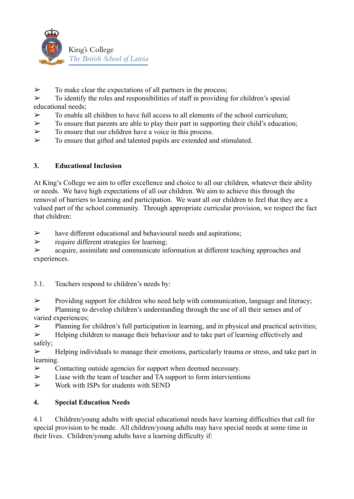

 $\triangleright$  To make clear the expectations of all partners in the process:

 $\triangleright$  To identify the roles and responsibilities of staff in providing for children's special educational needs;

- $\triangleright$  To enable all children to have full access to all elements of the school curriculum;
- $\triangleright$  To ensure that parents are able to play their part in supporting their child's education;
- $\triangleright$  To ensure that our children have a voice in this process.
- $\geq$  To ensure that gifted and talented pupils are extended and stimulated.

### **3. Educational Inclusion**

At King's College we aim to offer excellence and choice to all our children, whatever their ability or needs. We have high expectations of all our children. We aim to achieve this through the removal of barriers to learning and participation. We want all our children to feel that they are a valued part of the school community. Through appropriate curricular provision, we respect the fact that children:

 $\triangleright$  have different educational and behavioural needs and aspirations;

➢ require different strategies for learning;

➢ acquire, assimilate and communicate information at different teaching approaches and experiences.

3.1. Teachers respond to children's needs by:

➢ Providing support for children who need help with communication, language and literacy;

➢ Planning to develop children's understanding through the use of all their senses and of varied experiences;

➢ Planning for children's full participation in learning, and in physical and practical activities;

➢ Helping children to manage their behaviour and to take part of learning effectively and safely;

➢ Helping individuals to manage their emotions, particularly trauma or stress, and take part in learning.

- ➢ Contacting outside agencies for support when deemed necessary.
- $\triangleright$  Liase with the team of teacher and TA support to form intervientions
- $\triangleright$  Work with ISPs for students with SEND

# **4. Special Education Needs**

4.1 Children/young adults with special educational needs have learning difficulties that call for special provision to be made. All children/young adults may have special needs at some time in their lives. Children/young adults have a learning difficulty if: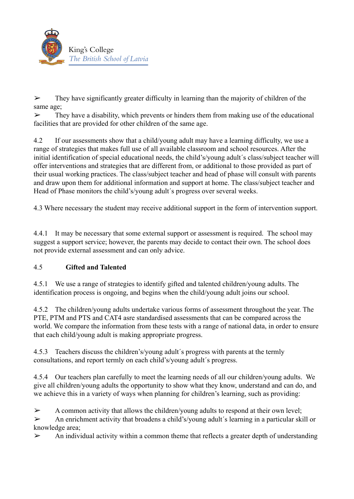

 $\geq$  They have significantly greater difficulty in learning than the majority of children of the same age;

 $\triangleright$  They have a disability, which prevents or hinders them from making use of the educational facilities that are provided for other children of the same age.

4.2 If our assessments show that a child/young adult may have a learning difficulty, we use a range of strategies that makes full use of all available classroom and school resources. After the initial identification of special educational needs, the child's/young adult´s class/subject teacher will offer interventions and strategies that are different from, or additional to those provided as part of their usual working practices. The class/subject teacher and head of phase will consult with parents and draw upon them for additional information and support at home. The class/subject teacher and Head of Phase monitors the child's/young adult´s progress over several weeks.

4.3 Where necessary the student may receive additional support in the form of intervention support.

4.4.1 It may be necessary that some external support or assessment is required. The school may suggest a support service; however, the parents may decide to contact their own. The school does not provide external assessment and can only advice.

### 4.5 **Gifted and Talented**

4.5.1 We use a range of strategies to identify gifted and talented children/young adults. The identification process is ongoing, and begins when the child/young adult joins our school.

4.5.2 The children/young adults undertake various forms of assessment throughout the year. The PTE, PTM and PTS and CAT4 asre standardised assessments that can be compared across the world. We compare the information from these tests with a range of national data, in order to ensure that each child/young adult is making appropriate progress.

4.5.3 Teachers discuss the children's/young adult´s progress with parents at the termly consultations, and report termly on each child's/young adult´s progress.

4.5.4 Our teachers plan carefully to meet the learning needs of all our children/young adults. We give all children/young adults the opportunity to show what they know, understand and can do, and we achieve this in a variety of ways when planning for children's learning, such as providing:

 $\triangleright$  A common activity that allows the children/young adults to respond at their own level;

➢ An enrichment activity that broadens a child's/young adult´s learning in a particular skill or knowledge area;

 $\triangleright$  An individual activity within a common theme that reflects a greater depth of understanding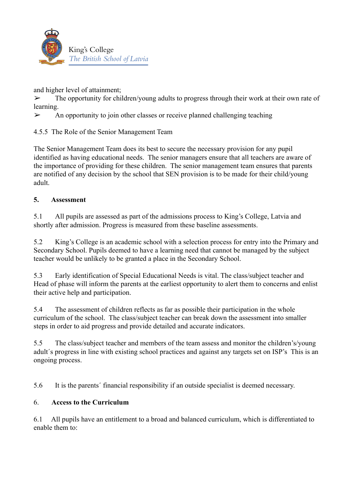

and higher level of attainment;

 $\triangleright$  The opportunity for children/young adults to progress through their work at their own rate of learning.

 $\triangleright$  An opportunity to join other classes or receive planned challenging teaching

4.5.5 The Role of the Senior Management Team

The Senior Management Team does its best to secure the necessary provision for any pupil identified as having educational needs. The senior managers ensure that all teachers are aware of the importance of providing for these children. The senior management team ensures that parents are notified of any decision by the school that SEN provision is to be made for their child/young adult.

### **5. Assessment**

5.1 All pupils are assessed as part of the admissions process to King's College, Latvia and shortly after admission. Progress is measured from these baseline assessments.

5.2 King's College is an academic school with a selection process for entry into the Primary and Secondary School. Pupils deemed to have a learning need that cannot be managed by the subject teacher would be unlikely to be granted a place in the Secondary School.

5.3 Early identification of Special Educational Needs is vital. The class/subject teacher and Head of phase will inform the parents at the earliest opportunity to alert them to concerns and enlist their active help and participation.

5.4 The assessment of children reflects as far as possible their participation in the whole curriculum of the school. The class/subject teacher can break down the assessment into smaller steps in order to aid progress and provide detailed and accurate indicators.

5.5 The class/subject teacher and members of the team assess and monitor the children's/young adult´s progress in line with existing school practices and against any targets set on ISP's This is an ongoing process.

5.6 It is the parents´ financial responsibility if an outside specialist is deemed necessary.

### 6. **Access to the Curriculum**

6.1 All pupils have an entitlement to a broad and balanced curriculum, which is differentiated to enable them to: